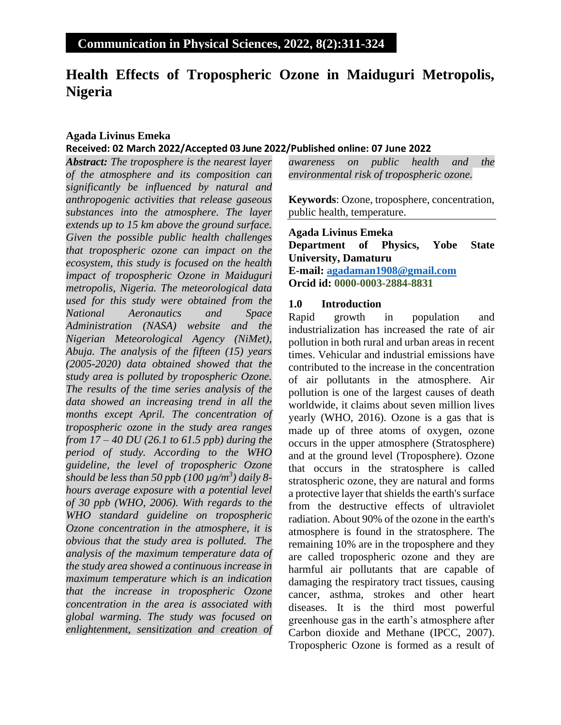# **Health Effects of Tropospheric Ozone in Maiduguri Metropolis, Nigeria**

## **Agada Livinus Emeka Received: 02 March 2022/Accepted 03 June 2022/Published online: 07 June 2022**

*Abstract: The troposphere is the nearest layer of the atmosphere and its composition can significantly be influenced by natural and anthropogenic activities that release gaseous substances into the atmosphere. The layer extends up to 15 km above the ground surface. Given the possible public health challenges that tropospheric ozone can impact on the ecosystem, this study is focused on the health impact of tropospheric Ozone in Maiduguri metropolis, Nigeria. The meteorological data used for this study were obtained from the National Aeronautics and Space Administration (NASA) website and the Nigerian Meteorological Agency (NiMet), Abuja. The analysis of the fifteen (15) years (2005-2020) data obtained showed that the study area is polluted by tropospheric Ozone. The results of the time series analysis of the data showed an increasing trend in all the months except April. The concentration of tropospheric ozone in the study area ranges from 17 – 40 DU (26.1 to 61.5 ppb) during the period of study. According to the WHO guideline, the level of tropospheric Ozone should be less than 50 ppb (100 µg/m<sup>3</sup> ) daily 8 hours average exposure with a potential level of 30 ppb (WHO, 2006). With regards to the WHO standard guideline on tropospheric Ozone concentration in the atmosphere, it is obvious that the study area is polluted. The analysis of the maximum temperature data of the study area showed a continuous increase in maximum temperature which is an indication that the increase in tropospheric Ozone concentration in the area is associated with global warming. The study was focused on enlightenment, sensitization and creation of*  *awareness on public health and the environmental risk of tropospheric ozone.*

**Keywords**: Ozone, troposphere, concentration, public health, temperature.

**Agada Livinus Emeka Department of Physics, Yobe State University, Damaturu E-mail: [agadaman1908@gmail.com](mailto:agadaman1908@gmail.com) Orcid id: 0000-0003-2884-8831**

### **1.0 Introduction**

Rapid growth in population and industrialization has increased the rate of air pollution in both rural and urban areas in recent times. Vehicular and industrial emissions have contributed to the increase in the concentration of air pollutants in the atmosphere. Air pollution is one of the largest causes of death worldwide, it claims about seven million lives yearly (WHO, 2016). Ozone is a gas that is made up of three atoms of oxygen, ozone occurs in the upper atmosphere (Stratosphere) and at the ground level (Troposphere). Ozone that occurs in the stratosphere is called stratospheric ozone, they are natural and forms a protective layer that shields the earth's surface from the destructive effects of ultraviolet radiation. About 90% of the ozone in the earth's atmosphere is found in the stratosphere. The remaining 10% are in the troposphere and they are called tropospheric ozone and they are harmful air pollutants that are capable of damaging the respiratory tract tissues, causing cancer, asthma, strokes and other heart diseases. It is the third most powerful greenhouse gas in the earth's atmosphere after Carbon dioxide and Methane (IPCC, 2007). Tropospheric Ozone is formed as a result of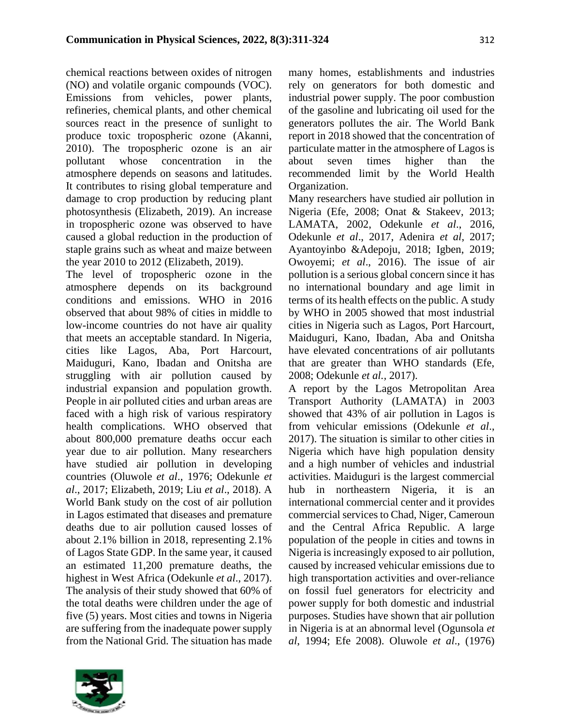chemical reactions between oxides of nitrogen (NO) and volatile organic compounds (VOC). Emissions from vehicles, power plants, refineries, chemical plants, and other chemical sources react in the presence of sunlight to produce toxic tropospheric ozone (Akanni, 2010). The tropospheric ozone is an air pollutant whose concentration in the atmosphere depends on seasons and latitudes. It contributes to rising global temperature and damage to crop production by reducing plant photosynthesis (Elizabeth, 2019). An increase in tropospheric ozone was observed to have caused a global reduction in the production of staple grains such as wheat and maize between the year 2010 to 2012 (Elizabeth, 2019).

The level of tropospheric ozone in the atmosphere depends on its background conditions and emissions. WHO in 2016 observed that about 98% of cities in middle to low-income countries do not have air quality that meets an acceptable standard. In Nigeria, cities like Lagos, Aba, Port Harcourt, Maiduguri, Kano, Ibadan and Onitsha are struggling with air pollution caused by industrial expansion and population growth. People in air polluted cities and urban areas are faced with a high risk of various respiratory health complications. WHO observed that about 800,000 premature deaths occur each year due to air pollution. Many researchers have studied air pollution in developing countries (Oluwole *et al*., 1976; Odekunle *et al*., 2017; Elizabeth, 2019; Liu *et al*., 2018). A World Bank study on the cost of air pollution in Lagos estimated that diseases and premature deaths due to air pollution caused losses of about 2.1% billion in 2018, representing 2.1% of Lagos State GDP. In the same year, it caused an estimated 11,200 premature deaths, the highest in West Africa (Odekunle *et al*., 2017). The analysis of their study showed that 60% of the total deaths were children under the age of five (5) years. Most cities and towns in Nigeria are suffering from the inadequate power supply from the National Grid. The situation has made



many homes, establishments and industries rely on generators for both domestic and industrial power supply. The poor combustion of the gasoline and lubricating oil used for the generators pollutes the air. The World Bank report in 2018 showed that the concentration of particulate matter in the atmosphere of Lagos is about seven times higher than the recommended limit by the World Health Organization.

Many researchers have studied air pollution in Nigeria (Efe, 2008; Onat & Stakeev, 2013; LAMATA, 2002, Odekunle *et al*., 2016, Odekunle *et al*., 2017, Adenira *et al*, 2017; Ayantoyinbo &Adepoju, 2018; Igben, 2019; Owoyemi; *et al*., 2016). The issue of air pollution is a serious global concern since it has no international boundary and age limit in terms of its health effects on the public. A study by WHO in 2005 showed that most industrial cities in Nigeria such as Lagos, Port Harcourt, Maiduguri, Kano, Ibadan, Aba and Onitsha have elevated concentrations of air pollutants that are greater than WHO standards (Efe, 2008; Odekunle *et al.,* 2017).

A report by the Lagos Metropolitan Area Transport Authority (LAMATA) in 2003 showed that 43% of air pollution in Lagos is from vehicular emissions (Odekunle *et al*., 2017). The situation is similar to other cities in Nigeria which have high population density and a high number of vehicles and industrial activities. Maiduguri is the largest commercial hub in northeastern Nigeria, it is an international commercial center and it provides commercial services to Chad, Niger, Cameroun and the Central Africa Republic. A large population of the people in cities and towns in Nigeria is increasingly exposed to air pollution, caused by increased vehicular emissions due to high transportation activities and over-reliance on fossil fuel generators for electricity and power supply for both domestic and industrial purposes. Studies have shown that air pollution in Nigeria is at an abnormal level (Ogunsola *et al*, 1994; Efe 2008). Oluwole *et al*., (1976)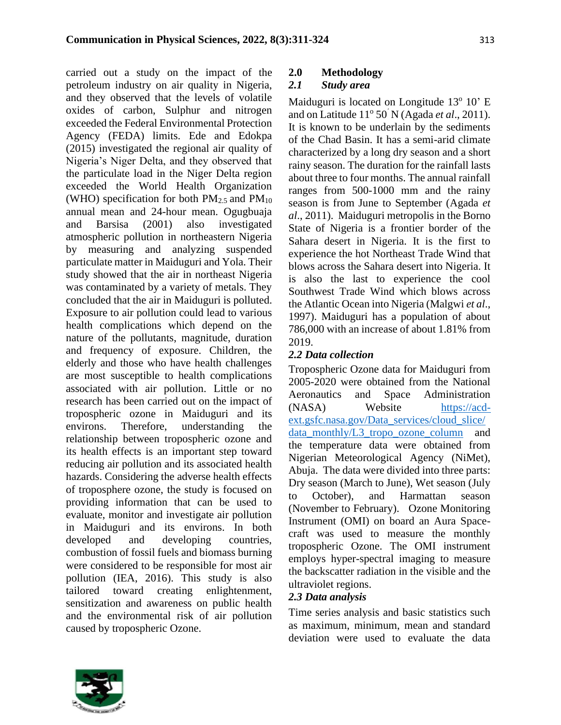carried out a study on the impact of the petroleum industry on air quality in Nigeria, and they observed that the levels of volatile oxides of carbon, Sulphur and nitrogen exceeded the Federal Environmental Protection Agency (FEDA) limits. Ede and Edokpa (2015) investigated the regional air quality of Nigeria's Niger Delta, and they observed that the particulate load in the Niger Delta region exceeded the World Health Organization (WHO) specification for both  $PM_{2.5}$  and  $PM_{10}$ annual mean and 24-hour mean. Ogugbuaja and Barsisa (2001) also investigated atmospheric pollution in northeastern Nigeria by measuring and analyzing suspended particulate matter in Maiduguri and Yola. Their study showed that the air in northeast Nigeria was contaminated by a variety of metals. They concluded that the air in Maiduguri is polluted. Exposure to air pollution could lead to various health complications which depend on the nature of the pollutants, magnitude, duration and frequency of exposure. Children, the elderly and those who have health challenges are most susceptible to health complications associated with air pollution. Little or no research has been carried out on the impact of tropospheric ozone in Maiduguri and its environs. Therefore, understanding the relationship between tropospheric ozone and its health effects is an important step toward reducing air pollution and its associated health hazards. Considering the adverse health effects of troposphere ozone, the study is focused on providing information that can be used to evaluate, monitor and investigate air pollution in Maiduguri and its environs. In both developed and developing countries, combustion of fossil fuels and biomass burning were considered to be responsible for most air pollution (IEA, 2016). This study is also tailored toward creating enlightenment, sensitization and awareness on public health and the environmental risk of air pollution caused by tropospheric Ozone.

# **2.0 Methodology**

# *2.1 Study area*

Maiduguri is located on Longitude 13<sup>°</sup> 10' E and on Latitude 11<sup>°</sup> 50<sup>'</sup> N (Agada *et al.*, 2011). It is known to be underlain by the sediments of the Chad Basin. It has a semi-arid climate characterized by a long dry season and a short rainy season. The duration for the rainfall lasts about three to four months. The annual rainfall ranges from 500-1000 mm and the rainy season is from June to September (Agada *et al*., 2011). Maiduguri metropolis in the Borno State of Nigeria is a frontier border of the Sahara desert in Nigeria. It is the first to experience the hot Northeast Trade Wind that blows across the Sahara desert into Nigeria. It is also the last to experience the cool Southwest Trade Wind which blows across the Atlantic Ocean into Nigeria (Malgwi *et al*., 1997). Maiduguri has a population of about 786,000 with an increase of about 1.81% from 2019.

# *2.2 Data collection*

Tropospheric Ozone data for Maiduguri from 2005-2020 were obtained from the National Aeronautics and Space Administration (NASA) Website [https://acd](https://acd-ext.gsfc.nasa.gov/Data_services/cloud_slice/data_monthly/L3_tropo_ozone_column)[ext.gsfc.nasa.gov/Data\\_services/cloud\\_slice/](https://acd-ext.gsfc.nasa.gov/Data_services/cloud_slice/data_monthly/L3_tropo_ozone_column) [data\\_monthly/L3\\_tropo\\_ozone\\_column](https://acd-ext.gsfc.nasa.gov/Data_services/cloud_slice/data_monthly/L3_tropo_ozone_column) and the temperature data were obtained from Nigerian Meteorological Agency (NiMet), Abuja. The data were divided into three parts: Dry season (March to June), Wet season (July to October), and Harmattan season (November to February). Ozone Monitoring Instrument (OMI) on board an Aura Spacecraft was used to measure the monthly tropospheric Ozone. The OMI instrument employs hyper-spectral imaging to measure the backscatter radiation in the visible and the ultraviolet regions.

# *2.3 Data analysis*

Time series analysis and basic statistics such as maximum, minimum, mean and standard deviation were used to evaluate the data

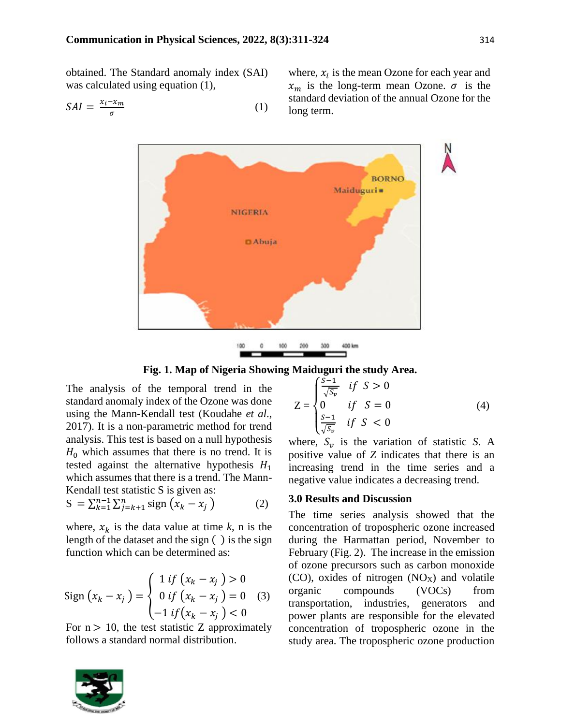obtained. The Standard anomaly index (SAI) was calculated using equation (1),

$$
SAI = \frac{x_i - x_m}{\sigma} \tag{1}
$$

where,  $x_i$  is the mean Ozone for each year and  $x_m$  is the long-term mean Ozone.  $\sigma$  is the standard deviation of the annual Ozone for the long term.



**Fig. 1. Map of Nigeria Showing Maiduguri the study Area.**

The analysis of the temporal trend in the standard anomaly index of the Ozone was done using the Mann-Kendall test (Koudahe *et al*., 2017). It is a non-parametric method for trend analysis. This test is based on a null hypothesis  $H_0$  which assumes that there is no trend. It is tested against the alternative hypothesis  $H_1$ which assumes that there is a trend. The Mann-Kendall test statistic S is given as:

$$
S = \sum_{k=1}^{n-1} \sum_{j=k+1}^{n} sign(x_k - x_j)
$$
 (2)

where,  $x_k$  is the data value at time  $k$ , n is the length of the dataset and the sign ( ) is the sign function which can be determined as:

Sign 
$$
(x_k - x_j)
$$
 = 
$$
\begin{cases} 1 & \text{if } (x_k - x_j) > 0 \\ 0 & \text{if } (x_k - x_j) = 0 \\ -1 & \text{if } (x_k - x_j) < 0 \end{cases}
$$
 (3)

For  $n > 10$ , the test statistic Z approximately follows a standard normal distribution.



$$
Z = \begin{cases} \frac{\overline{S-1}}{\sqrt{S_v}} & \text{if } S > 0\\ 0 & \text{if } S = 0\\ \frac{\overline{S-1}}{\sqrt{S_v}} & \text{if } S < 0 \end{cases}
$$
(4)

where,  $S_v$  is the variation of statistic *S*. A positive value of *Z* indicates that there is an increasing trend in the time series and a negative value indicates a decreasing trend.

#### **3.0 Results and Discussion**

The time series analysis showed that the concentration of tropospheric ozone increased during the Harmattan period, November to February (Fig. 2). The increase in the emission of ozone precursors such as carbon monoxide  $(CO)$ , oxides of nitrogen  $(NO<sub>X</sub>)$  and volatile organic compounds (VOCs) from transportation, industries, generators and power plants are responsible for the elevated concentration of tropospheric ozone in the study area. The tropospheric ozone production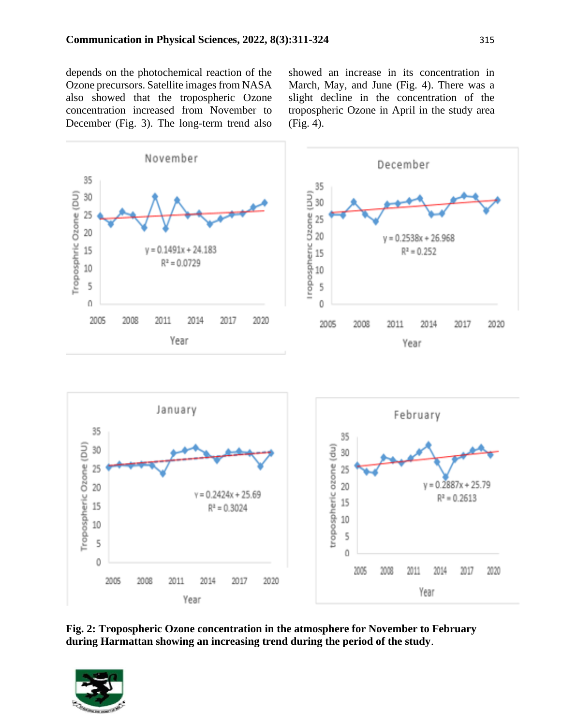depends on the photochemical reaction of the Ozone precursors. Satellite images from NASA also showed that the tropospheric Ozone concentration increased from November to December (Fig. 3). The long-term trend also showed an increase in its concentration in March, May, and June (Fig. 4). There was a slight decline in the concentration of the tropospheric Ozone in April in the study area (Fig. 4).



**Fig. 2: Tropospheric Ozone concentration in the atmosphere for November to February during Harmattan showing an increasing trend during the period of the study**.

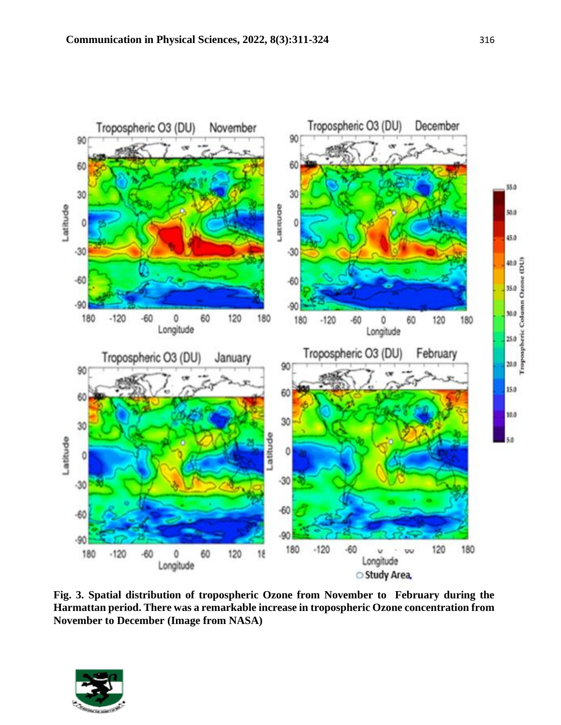

**Fig. 3. Spatial distribution of tropospheric Ozone from November to February during the Harmattan period. There was a remarkable increase in tropospheric Ozone concentration from November to December (Image from NASA)**

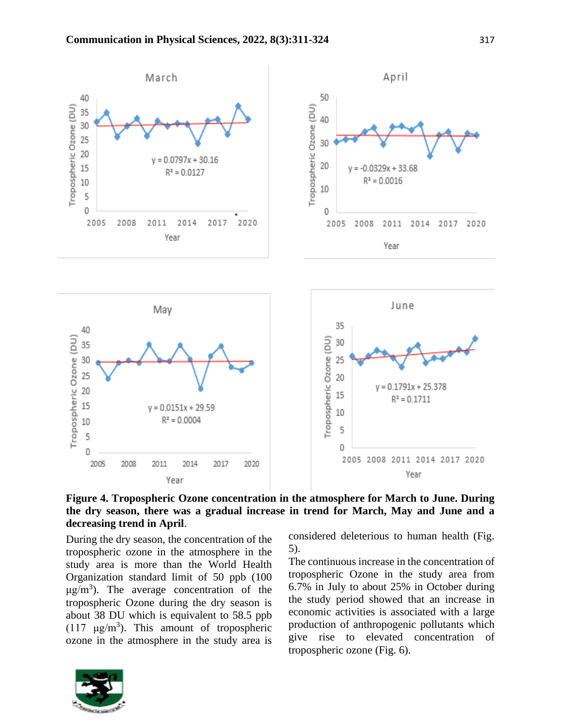

**Figure 4. Tropospheric Ozone concentration in the atmosphere for March to June. During the dry season, there was a gradual increase in trend for March, May and June and a decreasing trend in April**.

During the dry season, the concentration of the tropospheric ozone in the atmosphere in the study area is more than the World Health Organization standard limit of 50 ppb (100  $\mu$ g/m<sup>3</sup>). The average concentration of the tropospheric Ozone during the dry season is about 38 DU which is equivalent to 58.5 ppb (117  $\mu$ g/m<sup>3</sup>). This amount of tropospheric ozone in the atmosphere in the study area is



considered deleterious to human health (Fig. 5).

The continuous increase in the concentration of tropospheric Ozone in the study area from 6.7% in July to about 25% in October during the study period showed that an increase in economic activities is associated with a large production of anthropogenic pollutants which give rise to elevated concentration of tropospheric ozone (Fig. 6).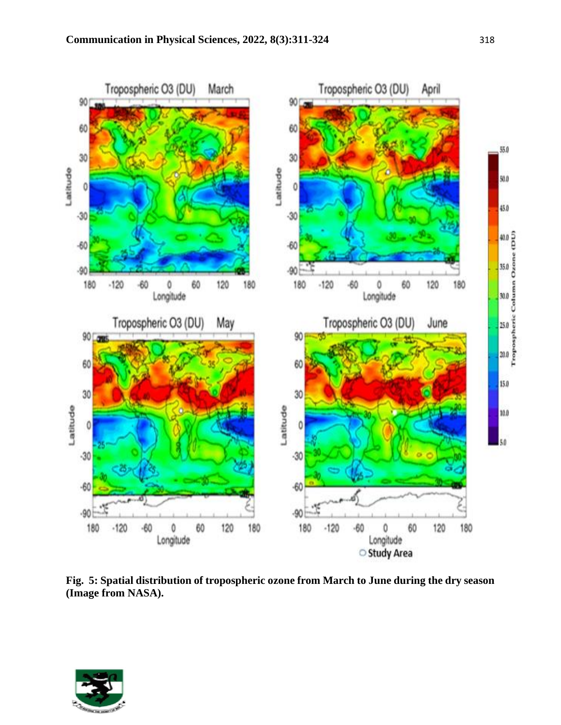

**Fig. 5: Spatial distribution of tropospheric ozone from March to June during the dry season (Image from NASA).** 

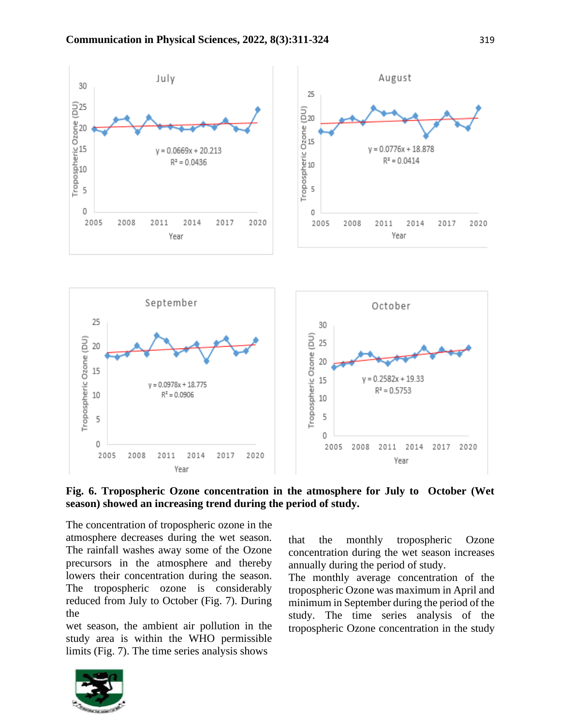

## **Fig. 6. Tropospheric Ozone concentration in the atmosphere for July to October (Wet season) showed an increasing trend during the period of study.**

The concentration of tropospheric ozone in the atmosphere decreases during the wet season. The rainfall washes away some of the Ozone precursors in the atmosphere and thereby lowers their concentration during the season. The tropospheric ozone is considerably reduced from July to October (Fig. 7). During the

wet season, the ambient air pollution in the study area is within the WHO permissible limits (Fig. 7). The time series analysis shows

that the monthly tropospheric Ozone concentration during the wet season increases annually during the period of study.

The monthly average concentration of the tropospheric Ozone was maximum in April and minimum in September during the period of the study. The time series analysis of the tropospheric Ozone concentration in the study

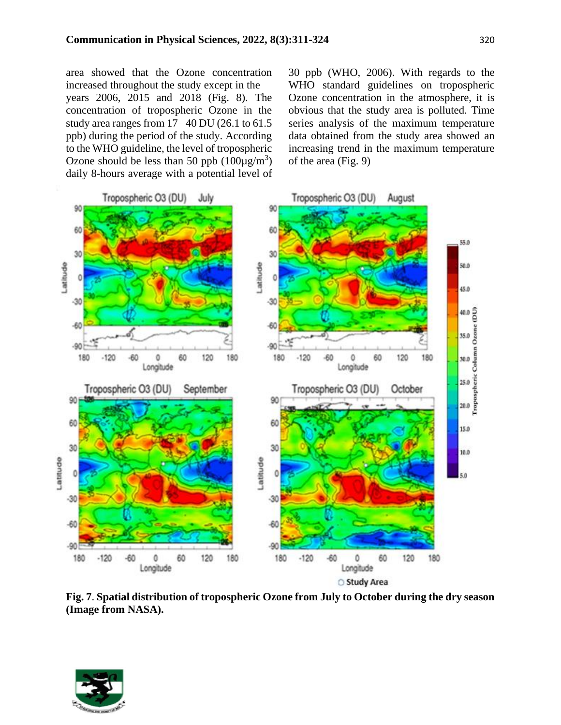area showed that the Ozone concentration increased throughout the study except in the years 2006, 2015 and 2018 (Fig. 8). The concentration of tropospheric Ozone in the study area ranges from 17– 40 DU (26.1 to 61.5 ppb) during the period of the study. According to the WHO guideline, the level of tropospheric Ozone should be less than 50 ppb  $(100\mu g/m^3)$ daily 8-hours average with a potential level of 30 ppb (WHO, 2006). With regards to the WHO standard guidelines on tropospheric Ozone concentration in the atmosphere, it is obvious that the study area is polluted. Time series analysis of the maximum temperature data obtained from the study area showed an increasing trend in the maximum temperature of the area (Fig. 9)



**Fig. 7**. **Spatial distribution of tropospheric Ozone from July to October during the dry season (Image from NASA).**

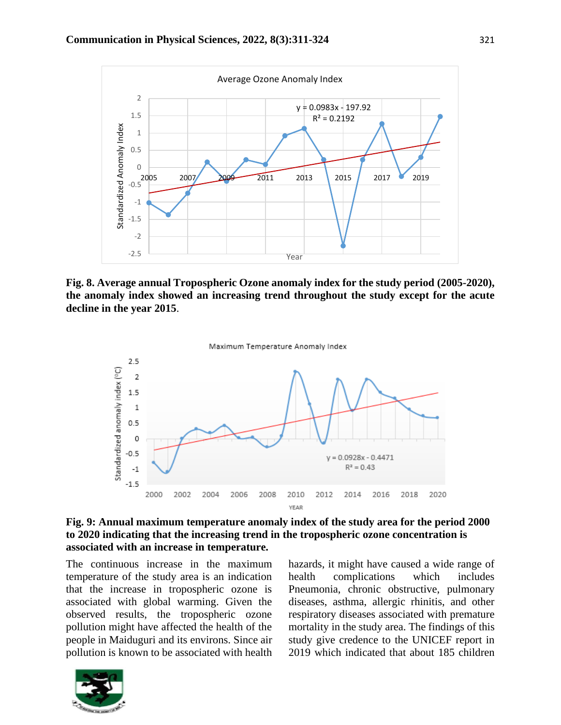

**Fig. 8. Average annual Tropospheric Ozone anomaly index for the study period (2005-2020), the anomaly index showed an increasing trend throughout the study except for the acute decline in the year 2015**.



**Fig. 9: Annual maximum temperature anomaly index of the study area for the period 2000 to 2020 indicating that the increasing trend in the tropospheric ozone concentration is associated with an increase in temperature.**

The continuous increase in the maximum temperature of the study area is an indication that the increase in tropospheric ozone is associated with global warming. Given the observed results, the tropospheric ozone pollution might have affected the health of the people in Maiduguri and its environs. Since air pollution is known to be associated with health



hazards, it might have caused a wide range of health complications which includes Pneumonia, chronic obstructive, pulmonary diseases, asthma, allergic rhinitis, and other respiratory diseases associated with premature mortality in the study area. The findings of this study give credence to the UNICEF report in 2019 which indicated that about 185 children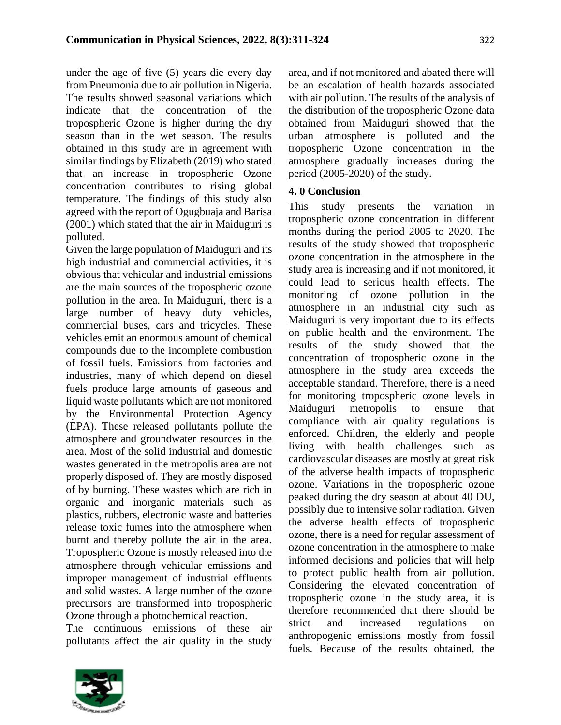under the age of five (5) years die every day from Pneumonia due to air pollution in Nigeria. The results showed seasonal variations which indicate that the concentration of the tropospheric Ozone is higher during the dry season than in the wet season. The results obtained in this study are in agreement with similar findings by Elizabeth (2019) who stated that an increase in tropospheric Ozone concentration contributes to rising global temperature. The findings of this study also agreed with the report of Ogugbuaja and Barisa (2001) which stated that the air in Maiduguri is polluted.

Given the large population of Maiduguri and its high industrial and commercial activities, it is obvious that vehicular and industrial emissions are the main sources of the tropospheric ozone pollution in the area. In Maiduguri, there is a large number of heavy duty vehicles, commercial buses, cars and tricycles. These vehicles emit an enormous amount of chemical compounds due to the incomplete combustion of fossil fuels. Emissions from factories and industries, many of which depend on diesel fuels produce large amounts of gaseous and liquid waste pollutants which are not monitored by the Environmental Protection Agency (EPA). These released pollutants pollute the atmosphere and groundwater resources in the area. Most of the solid industrial and domestic wastes generated in the metropolis area are not properly disposed of. They are mostly disposed of by burning. These wastes which are rich in organic and inorganic materials such as plastics, rubbers, electronic waste and batteries release toxic fumes into the atmosphere when burnt and thereby pollute the air in the area. Tropospheric Ozone is mostly released into the atmosphere through vehicular emissions and improper management of industrial effluents and solid wastes. A large number of the ozone precursors are transformed into tropospheric Ozone through a photochemical reaction.

The continuous emissions of these air pollutants affect the air quality in the study



area, and if not monitored and abated there will be an escalation of health hazards associated with air pollution. The results of the analysis of the distribution of the tropospheric Ozone data obtained from Maiduguri showed that the urban atmosphere is polluted and the tropospheric Ozone concentration in the atmosphere gradually increases during the period (2005-2020) of the study.

## **4. 0 Conclusion**

This study presents the variation in tropospheric ozone concentration in different months during the period 2005 to 2020. The results of the study showed that tropospheric ozone concentration in the atmosphere in the study area is increasing and if not monitored, it could lead to serious health effects. The monitoring of ozone pollution in the atmosphere in an industrial city such as Maiduguri is very important due to its effects on public health and the environment. The results of the study showed that the concentration of tropospheric ozone in the atmosphere in the study area exceeds the acceptable standard. Therefore, there is a need for monitoring tropospheric ozone levels in Maiduguri metropolis to ensure that compliance with air quality regulations is enforced. Children, the elderly and people living with health challenges such as cardiovascular diseases are mostly at great risk of the adverse health impacts of tropospheric ozone. Variations in the tropospheric ozone peaked during the dry season at about 40 DU, possibly due to intensive solar radiation. Given the adverse health effects of tropospheric ozone, there is a need for regular assessment of ozone concentration in the atmosphere to make informed decisions and policies that will help to protect public health from air pollution. Considering the elevated concentration of tropospheric ozone in the study area, it is therefore recommended that there should be strict and increased regulations on anthropogenic emissions mostly from fossil fuels. Because of the results obtained, the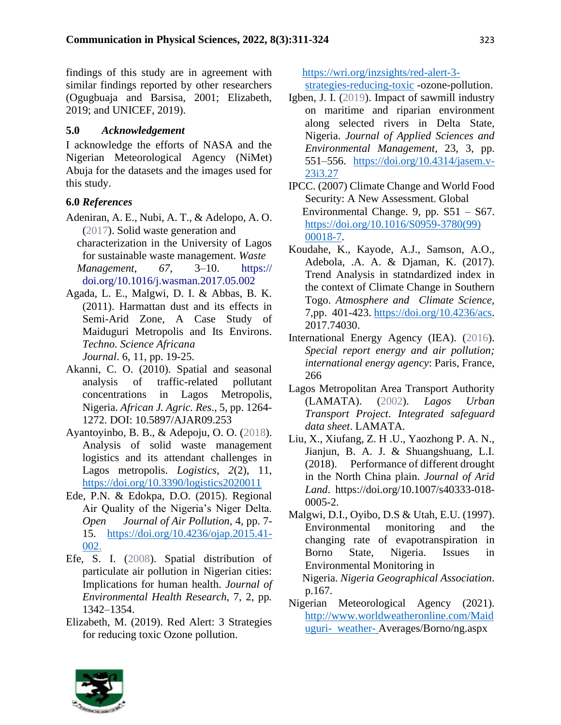findings of this study are in agreement with similar findings reported by other researchers (Ogugbuaja and Barsisa, 2001; Elizabeth, 2019; and UNICEF, 2019).

## **5.0** *Acknowledgement*

I acknowledge the efforts of NASA and the Nigerian Meteorological Agency (NiMet) Abuja for the datasets and the images used for this study.

## **6.0** *References*

- Adeniran, A. E., Nubi, A. T., & Adelopo, A. O. (2017). Solid waste generation and characterization in the University of Lagos for sustainable waste management. *Waste Management*, *67*, 3–10. [https://](https://doi.org/10.1016/j.wasman.2017.05.002)  [doi.org/10.1016/j.wasman.2017.05.002](https://doi.org/10.1016/j.wasman.2017.05.002)
- Agada, L. E., Malgwi, D. I. & Abbas, B. K. (2011). Harmattan dust and its effects in Semi-Arid Zone, A Case Study of Maiduguri Metropolis and Its Environs. *Techno. Science Africana*

*Journal*. 6, 11, pp. 19-25.

- Akanni, C. O. (2010). Spatial and seasonal analysis of traffic-related pollutant concentrations in Lagos Metropolis, Nigeria. *African J. Agric. Res*., 5, pp. 1264- 1272. DOI: 10.5897/AJAR09.253
- Ayantoyinbo, B. B., & Adepoju, O. O. (2018). Analysis of solid waste management logistics and its attendant challenges in Lagos metropolis. *Logistics*, *2*(2), 11, <https://doi.org/10.3390/logistics2020011>
- Ede, P.N. & Edokpa, D.O. (2015). Regional Air Quality of the Nigeria's Niger Delta. *Open Journal of Air Pollution,* 4, pp. 7- 15. [https://doi.org/10.4236/ojap.2015.41-](https://doi.org/10.4236/ojap.2015.41-%20002) [002.](https://doi.org/10.4236/ojap.2015.41-%20002)
- Efe, S. I. (2008). Spatial distribution of particulate air pollution in Nigerian cities: Implications for human health. *Journal of Environmental Health Research*, 7, 2, pp*.*  1342–1354.
- Elizabeth, M. (2019). Red Alert: 3 Strategies for reducing toxic Ozone pollution.

 [https://wri.org/inzsights/red-alert-3](https://wri.org/inzsights/red-alert-3-strategies-reducing-toxic) [strategies-reducing-toxic](https://wri.org/inzsights/red-alert-3-strategies-reducing-toxic) -ozone-pollution.

- Igben, J. I. (2019). Impact of sawmill industry on maritime and riparian environment along selected rivers in Delta State, Nigeria. *Journal of Applied Sciences and Environmental Management*, 23, 3, pp. 551–556. [https://doi.org/10.4314/jasem.v-](https://doi.org/10.4314/jasem.v-%2023i3.27)[23i3.27](https://doi.org/10.4314/jasem.v-%2023i3.27)
- IPCC. (2007) Climate Change and World Food Security: A New Assessment. Global Environmental Change. 9, pp. S51 – S67. [https://doi.org/10.1016/S0959-3780\(99\)](https://doi.org/10.1016/S0959-3780(99)%2000018-7)  [00018-7.](https://doi.org/10.1016/S0959-3780(99)%2000018-7)
- Koudahe, K., Kayode, A.J., Samson, A.O., Adebola, .A. A. & Djaman, K. (2017). Trend Analysis in statndardized index in the context of Climate Change in Southern Togo. *Atmosphere and Climate Science,* 7,pp. 401-423. [https://doi.org/10.4236/acs.](https://doi.org/10.4236/acs) 2017.74030.
- International Energy Agency (IEA). (2016). *Special report energy and air pollution; international energy agency*: Paris, France, 266
- Lagos Metropolitan Area Transport Authority (LAMATA). (2002). *Lagos Urban Transport Project*. *Integrated safeguard data sheet*. LAMATA.
- Liu, X., Xiufang, Z. H .U., Yaozhong P. A. N., Jianjun, B. A. J. & Shuangshuang, L.I. (2018). Performance of different drought in the North China plain. *Journal of Arid Land*. https://doi.org/10.1007/s40333-018- 0005-2.
- Malgwi, D.I., Oyibo, D.S & Utah, E.U. (1997). Environmental monitoring and the changing rate of evapotranspiration in Borno State, Nigeria. Issues in Environmental Monitoring in Nigeria. *Nigeria Geographical Association*. p.167.
- Nigerian Meteorological Agency (2021). [http://www.worldweatheronline.com/Maid](http://www.worldweatheronline.com/Maiduguri-%20%20weather-) [uguri- weather-](http://www.worldweatheronline.com/Maiduguri-%20%20weather-) Averages/Borno/ng.aspx